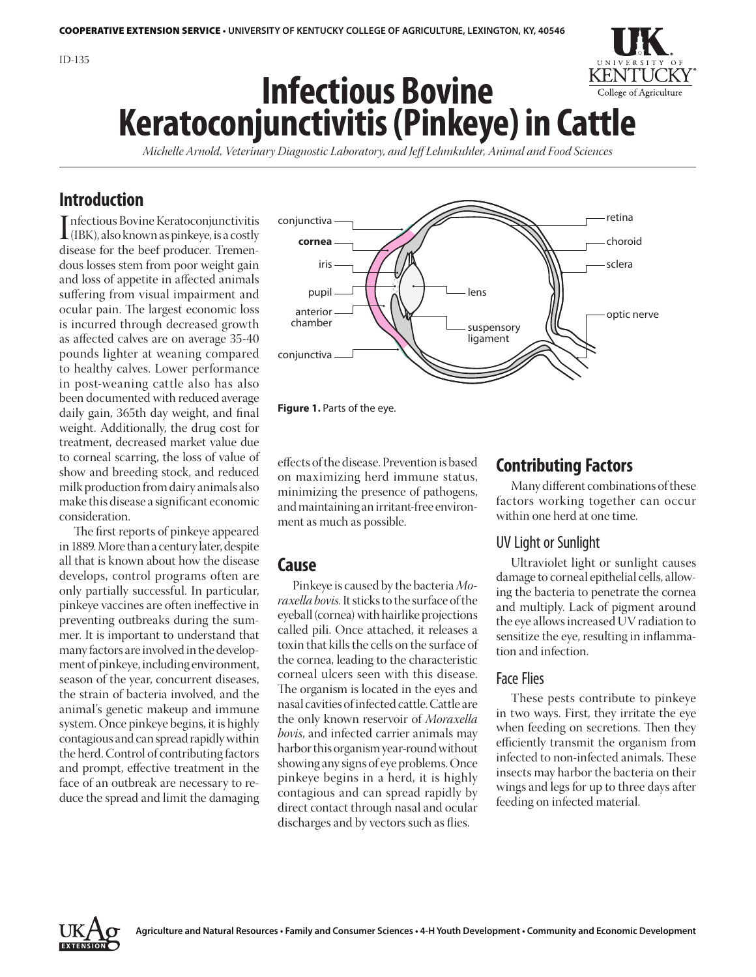

*Michelle Arnold, Veterinary Diagnostic Laboratory, and Jeff Lehmkuhler, Animal and Food Sciences*

# **Introduction**

Infectious Bovine Keratoconjunctivitis<br>(IBK), also known as pinkeye, is a costly<br>disease for the beef producer Tremennfectious Bovine Keratoconjunctivitis disease for the beef producer. Tremendous losses stem from poor weight gain and loss of appetite in affected animals suffering from visual impairment and ocular pain. The largest economic loss is incurred through decreased growth as affected calves are on average 35-40 pounds lighter at weaning compared to healthy calves. Lower performance in post-weaning cattle also has also been documented with reduced average daily gain, 365th day weight, and final weight. Additionally, the drug cost for treatment, decreased market value due to corneal scarring, the loss of value of show and breeding stock, and reduced milk production from dairy animals also make this disease a significant economic consideration.

The first reports of pinkeye appeared in 1889. More than a century later, despite all that is known about how the disease develops, control programs often are only partially successful. In particular, pinkeye vaccines are often ineffective in preventing outbreaks during the summer. It is important to understand that many factors are involved in the development of pinkeye, including environment, season of the year, concurrent diseases, the strain of bacteria involved, and the animal's genetic makeup and immune system. Once pinkeye begins, it is highly contagious and can spread rapidly within the herd. Control of contributing factors and prompt, effective treatment in the face of an outbreak are necessary to reduce the spread and limit the damaging



**Figure 1.** Parts of the eye.

effects of the disease. Prevention is based on maximizing herd immune status, minimizing the presence of pathogens, and maintaining an irritant-free environment as much as possible.

# **Cause**

Pinkeye is caused by the bacteria *Moraxella bovis*. It sticks to the surface of the eyeball (cornea) with hairlike projections called pili. Once attached, it releases a toxin that kills the cells on the surface of the cornea, leading to the characteristic corneal ulcers seen with this disease. The organism is located in the eyes and nasal cavities of infected cattle. Cattle are the only known reservoir of *Moraxella bovis*, and infected carrier animals may harbor this organism year-round without showing any signs of eye problems. Once pinkeye begins in a herd, it is highly contagious and can spread rapidly by direct contact through nasal and ocular discharges and by vectors such as flies.

# **Contributing Factors**

Many different combinations of these factors working together can occur within one herd at one time.

## UV Light or Sunlight

Ultraviolet light or sunlight causes damage to corneal epithelial cells, allowing the bacteria to penetrate the cornea and multiply. Lack of pigment around the eye allows increased UV radiation to sensitize the eye, resulting in inflammation and infection.

### Face Flies

These pests contribute to pinkeye in two ways. First, they irritate the eye when feeding on secretions. Then they efficiently transmit the organism from infected to non-infected animals. These insects may harbor the bacteria on their wings and legs for up to three days after feeding on infected material.

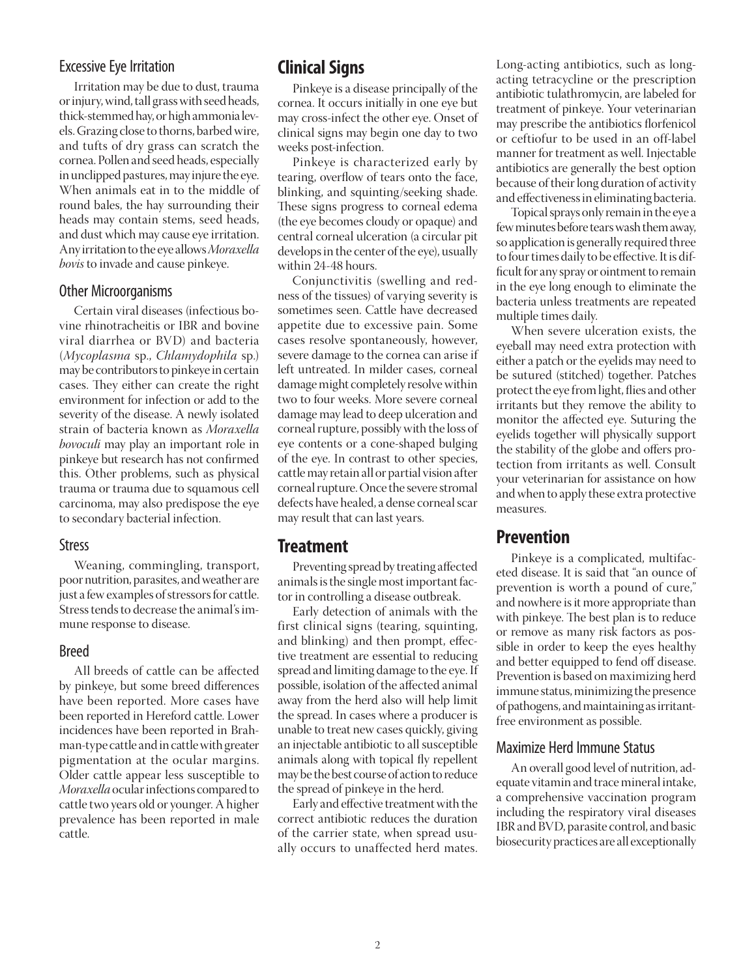## Excessive Eye Irritation

Irritation may be due to dust, trauma or injury, wind, tall grass with seed heads, thick-stemmed hay, or high ammonia levels. Grazing close to thorns, barbed wire, and tufts of dry grass can scratch the cornea. Pollen and seed heads, especially in unclipped pastures, may injure the eye. When animals eat in to the middle of round bales, the hay surrounding their heads may contain stems, seed heads, and dust which may cause eye irritation. Any irritation to the eye allows *Moraxella bovis* to invade and cause pinkeye.

## Other Microorganisms

Certain viral diseases (infectious bovine rhinotracheitis or IBR and bovine viral diarrhea or BVD) and bacteria (*Mycoplasma* sp., *Chlamydophila* sp.) may be contributors to pinkeye in certain cases. They either can create the right environment for infection or add to the severity of the disease. A newly isolated strain of bacteria known as *Moraxella bovoculi* may play an important role in pinkeye but research has not confirmed this. Other problems, such as physical trauma or trauma due to squamous cell carcinoma, may also predispose the eye to secondary bacterial infection.

### **Stress**

Weaning, commingling, transport, poor nutrition, parasites, and weather are just a few examples of stressors for cattle. Stress tends to decrease the animal's immune response to disease.

#### Breed

All breeds of cattle can be affected by pinkeye, but some breed differences have been reported. More cases have been reported in Hereford cattle. Lower incidences have been reported in Brahman-type cattle and in cattle with greater pigmentation at the ocular margins. Older cattle appear less susceptible to *Moraxella* ocular infections compared to cattle two years old or younger. A higher prevalence has been reported in male cattle.

# **Clinical Signs**

Pinkeye is a disease principally of the cornea. It occurs initially in one eye but may cross-infect the other eye. Onset of clinical signs may begin one day to two weeks post-infection.

Pinkeye is characterized early by tearing, overflow of tears onto the face, blinking, and squinting/seeking shade. These signs progress to corneal edema (the eye becomes cloudy or opaque) and central corneal ulceration (a circular pit develops in the center of the eye), usually within 24-48 hours.

Conjunctivitis (swelling and redness of the tissues) of varying severity is sometimes seen. Cattle have decreased appetite due to excessive pain. Some cases resolve spontaneously, however, severe damage to the cornea can arise if left untreated. In milder cases, corneal damage might completely resolve within two to four weeks. More severe corneal damage may lead to deep ulceration and corneal rupture, possibly with the loss of eye contents or a cone-shaped bulging of the eye. In contrast to other species, cattle may retain all or partial vision after corneal rupture. Once the severe stromal defects have healed, a dense corneal scar may result that can last years.

# **Treatment**

Preventing spread by treating affected animals is the single most important factor in controlling a disease outbreak.

Early detection of animals with the first clinical signs (tearing, squinting, and blinking) and then prompt, effective treatment are essential to reducing spread and limiting damage to the eye. If possible, isolation of the affected animal away from the herd also will help limit the spread. In cases where a producer is unable to treat new cases quickly, giving an injectable antibiotic to all susceptible animals along with topical fly repellent may be the best course of action to reduce the spread of pinkeye in the herd.

Early and effective treatment with the correct antibiotic reduces the duration of the carrier state, when spread usually occurs to unaffected herd mates. Long-acting antibiotics, such as longacting tetracycline or the prescription antibiotic tulathromycin, are labeled for treatment of pinkeye. Your veterinarian may prescribe the antibiotics florfenicol or ceftiofur to be used in an off-label manner for treatment as well. Injectable antibiotics are generally the best option because of their long duration of activity and effectiveness in eliminating bacteria.

Topical sprays only remain in the eye a few minutes before tears wash them away, so application is generally required three to four times daily to be effective. It is difficult for any spray or ointment to remain in the eye long enough to eliminate the bacteria unless treatments are repeated multiple times daily.

When severe ulceration exists, the eyeball may need extra protection with either a patch or the eyelids may need to be sutured (stitched) together. Patches protect the eye from light, flies and other irritants but they remove the ability to monitor the affected eye. Suturing the eyelids together will physically support the stability of the globe and offers protection from irritants as well. Consult your veterinarian for assistance on how and when to apply these extra protective measures.

# **Prevention**

Pinkeye is a complicated, multifaceted disease. It is said that "an ounce of prevention is worth a pound of cure," and nowhere is it more appropriate than with pinkeye. The best plan is to reduce or remove as many risk factors as possible in order to keep the eyes healthy and better equipped to fend off disease. Prevention is based on maximizing herd immune status, minimizing the presence of pathogens, and maintaining as irritantfree environment as possible.

### Maximize Herd Immune Status

An overall good level of nutrition, adequate vitamin and trace mineral intake, a comprehensive vaccination program including the respiratory viral diseases IBR and BVD, parasite control, and basic biosecurity practices are all exceptionally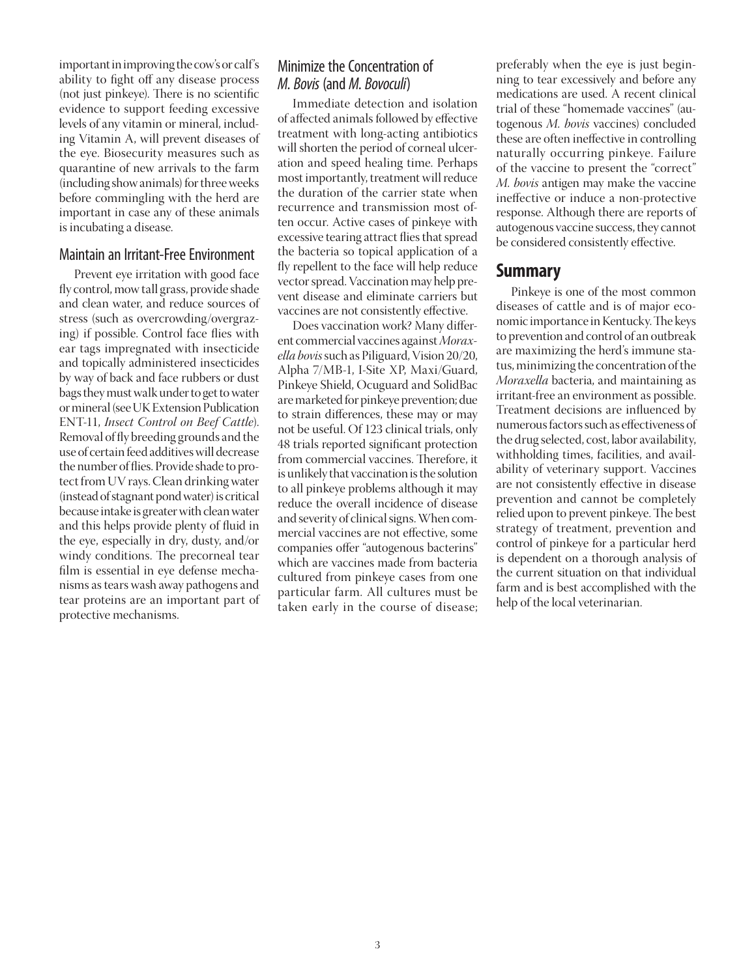important in improving the cow's or calf's ability to fight off any disease process (not just pinkeye). There is no scientific evidence to support feeding excessive levels of any vitamin or mineral, including Vitamin A, will prevent diseases of the eye. Biosecurity measures such as quarantine of new arrivals to the farm (including show animals) for three weeks before commingling with the herd are important in case any of these animals is incubating a disease.

#### Maintain an Irritant-Free Environment

Prevent eye irritation with good face fly control, mow tall grass, provide shade and clean water, and reduce sources of stress (such as overcrowding/overgrazing) if possible. Control face flies with ear tags impregnated with insecticide and topically administered insecticides by way of back and face rubbers or dust bags they must walk under to get to water or mineral (see UK Extension Publication ENT-11, *Insect Control on Beef Cattle*). Removal of fly breeding grounds and the use of certain feed additives will decrease the number of flies. Provide shade to protect from UV rays. Clean drinking water (instead of stagnant pond water) is critical because intake is greater with clean water and this helps provide plenty of fluid in the eye, especially in dry, dusty, and/or windy conditions. The precorneal tear film is essential in eye defense mechanisms as tears wash away pathogens and tear proteins are an important part of protective mechanisms.

# Minimize the Concentration of *M. Bovis* (and *M. Bovoculi*)

Immediate detection and isolation of affected animals followed by effective treatment with long-acting antibiotics will shorten the period of corneal ulceration and speed healing time. Perhaps most importantly, treatment will reduce the duration of the carrier state when recurrence and transmission most often occur. Active cases of pinkeye with excessive tearing attract flies that spread the bacteria so topical application of a fly repellent to the face will help reduce vector spread. Vaccination may help prevent disease and eliminate carriers but vaccines are not consistently effective.

Does vaccination work? Many different commercial vaccines against *Moraxella bovis* such as Piliguard, Vision 20/20, Alpha 7/MB-1, I-Site XP, Maxi/Guard, Pinkeye Shield, Ocuguard and SolidBac are marketed for pinkeye prevention; due to strain differences, these may or may not be useful. Of 123 clinical trials, only 48 trials reported significant protection from commercial vaccines. Therefore, it is unlikely that vaccination is the solution to all pinkeye problems although it may reduce the overall incidence of disease and severity of clinical signs. When commercial vaccines are not effective, some companies offer "autogenous bacterins" which are vaccines made from bacteria cultured from pinkeye cases from one particular farm. All cultures must be taken early in the course of disease; preferably when the eye is just beginning to tear excessively and before any medications are used. A recent clinical trial of these "homemade vaccines" (autogenous *M. bovis* vaccines) concluded these are often ineffective in controlling naturally occurring pinkeye. Failure of the vaccine to present the "correct" *M. bovis* antigen may make the vaccine ineffective or induce a non-protective response. Although there are reports of autogenous vaccine success, they cannot be considered consistently effective.

## **Summary**

Pinkeye is one of the most common diseases of cattle and is of major economic importance in Kentucky. The keys to prevention and control of an outbreak are maximizing the herd's immune status, minimizing the concentration of the *Moraxella* bacteria, and maintaining as irritant-free an environment as possible. Treatment decisions are influenced by numerous factors such as effectiveness of the drug selected, cost, labor availability, withholding times, facilities, and availability of veterinary support. Vaccines are not consistently effective in disease prevention and cannot be completely relied upon to prevent pinkeye. The best strategy of treatment, prevention and control of pinkeye for a particular herd is dependent on a thorough analysis of the current situation on that individual farm and is best accomplished with the help of the local veterinarian.